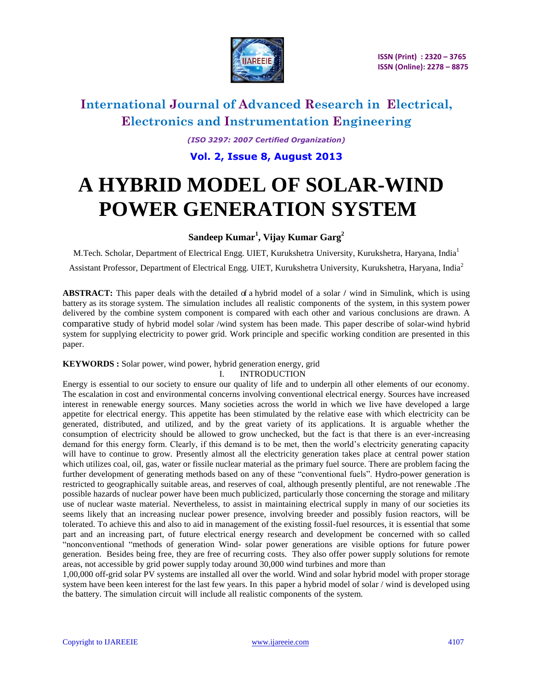

*(ISO 3297: 2007 Certified Organization)* **Vol. 2, Issue 8, August 2013**

# **A HYBRID MODEL OF SOLAR-WIND POWER GENERATION SYSTEM**

### **Sandeep Kumar<sup>1</sup> , Vijay Kumar Garg<sup>2</sup>**

M.Tech. Scholar, Department of Electrical Engg. UIET, Kurukshetra University, Kurukshetra, Haryana, India<sup>1</sup>

Assistant Professor, Department of Electrical Engg. UIET, Kurukshetra University, Kurukshetra, Haryana, India<sup>2</sup>

**ABSTRACT:** This paper deals with the detailed of a hybrid model of a solar **/** wind in Simulink, which is using battery as its storage system. The simulation includes all realistic components of the system, in this system power delivered by the combine system component is compared with each other and various conclusions are drawn. A comparative study of hybrid model solar /wind system has been made. This paper describe of solar-wind hybrid system for supplying electricity to power grid. Work principle and specific working condition are presented in this paper.

#### **KEYWORDS :** Solar power, wind power, hybrid generation energy, grid

#### I. INTRODUCTION

Energy is essential to our society to ensure our quality of life and to underpin all other elements of our economy. The escalation in cost and environmental concerns involving conventional electrical energy. Sources have increased interest in renewable energy sources. Many societies across the world in which we live have developed a large appetite for electrical energy. This appetite has been stimulated by the relative ease with which electricity can be generated, distributed, and utilized, and by the great variety of its applications. It is arguable whether the consumption of electricity should be allowed to grow unchecked, but the fact is that there is an ever-increasing demand for this energy form. Clearly, if this demand is to be met, then the world's electricity generating capacity will have to continue to grow. Presently almost all the electricity generation takes place at central power station which utilizes coal, oil, gas, water or fissile nuclear material as the primary fuel source. There are problem facing the further development of generating methods based on any of these "conventional fuels". Hydro-power generation is restricted to geographically suitable areas, and reserves of coal, although presently plentiful, are not renewable .The possible hazards of nuclear power have been much publicized, particularly those concerning the storage and military use of nuclear waste material. Nevertheless, to assist in maintaining electrical supply in many of our societies its seems likely that an increasing nuclear power presence, involving breeder and possibly fusion reactors, will be tolerated. To achieve this and also to aid in management of the existing fossil-fuel resources, it is essential that some part and an increasing part, of future electrical energy research and development be concerned with so called ―nonconventional ―methods of generation Wind- solar power generations are visible options for future power generation. Besides being free, they are free of recurring costs. They also offer power supply solutions for remote areas, not accessible by grid power supply today around 30,000 wind turbines and more than

1,00,000 off-grid solar PV systems are installed all over the world. Wind and solar hybrid model with proper storage system have been keen interest for the last few years. In this paper a hybrid model of solar / wind is developed using the battery. The simulation circuit will include all realistic components of the system.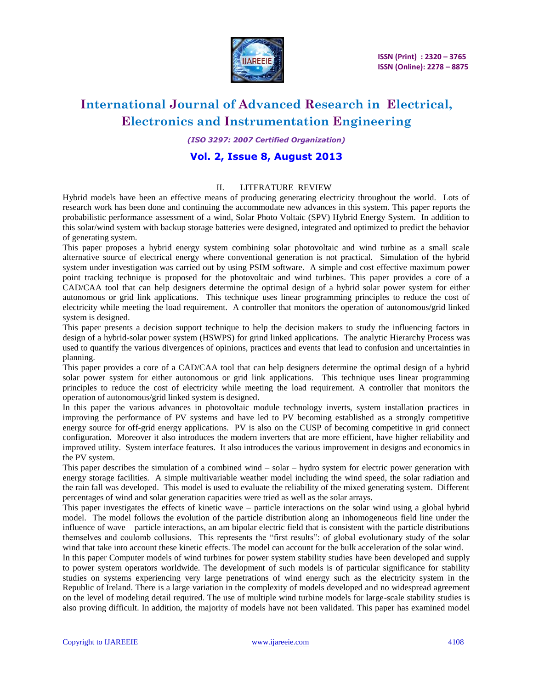

*(ISO 3297: 2007 Certified Organization)*

### **Vol. 2, Issue 8, August 2013**

#### II. LITERATURE REVIEW

Hybrid models have been an effective means of producing generating electricity throughout the world. Lots of research work has been done and continuing the accommodate new advances in this system. This paper reports the probabilistic performance assessment of a wind, Solar Photo Voltaic (SPV) Hybrid Energy System. In addition to this solar/wind system with backup storage batteries were designed, integrated and optimized to predict the behavior of generating system.

This paper proposes a hybrid energy system combining solar photovoltaic and wind turbine as a small scale alternative source of electrical energy where conventional generation is not practical. Simulation of the hybrid system under investigation was carried out by using PSIM software. A simple and cost effective maximum power point tracking technique is proposed for the photovoltaic and wind turbines. This paper provides a core of a CAD/CAA tool that can help designers determine the optimal design of a hybrid solar power system for either autonomous or grid link applications. This technique uses linear programming principles to reduce the cost of electricity while meeting the load requirement. A controller that monitors the operation of autonomous/grid linked system is designed.

This paper presents a decision support technique to help the decision makers to study the influencing factors in design of a hybrid-solar power system (HSWPS) for grind linked applications. The analytic Hierarchy Process was used to quantify the various divergences of opinions, practices and events that lead to confusion and uncertainties in planning.

This paper provides a core of a CAD/CAA tool that can help designers determine the optimal design of a hybrid solar power system for either autonomous or grid link applications. This technique uses linear programming principles to reduce the cost of electricity while meeting the load requirement. A controller that monitors the operation of autonomous/grid linked system is designed.

In this paper the various advances in photovoltaic module technology inverts, system installation practices in improving the performance of PV systems and have led to PV becoming established as a strongly competitive energy source for off-grid energy applications. PV is also on the CUSP of becoming competitive in grid connect configuration. Moreover it also introduces the modern inverters that are more efficient, have higher reliability and improved utility. System interface features. It also introduces the various improvement in designs and economics in the PV system.

This paper describes the simulation of a combined wind – solar – hydro system for electric power generation with energy storage facilities. A simple multivariable weather model including the wind speed, the solar radiation and the rain fall was developed. This model is used to evaluate the reliability of the mixed generating system. Different percentages of wind and solar generation capacities were tried as well as the solar arrays.

This paper investigates the effects of kinetic wave – particle interactions on the solar wind using a global hybrid model. The model follows the evolution of the particle distribution along an inhomogeneous field line under the influence of wave – particle interactions, an am bipolar electric field that is consistent with the particle distributions themselves and coulomb collusions. This represents the "first results": of global evolutionary study of the solar wind that take into account these kinetic effects. The model can account for the bulk acceleration of the solar wind.

In this paper Computer models of wind turbines for power system stability studies have been developed and supply to power system operators worldwide. The development of such models is of particular significance for stability studies on systems experiencing very large penetrations of wind energy such as the electricity system in the Republic of Ireland. There is a large variation in the complexity of models developed and no widespread agreement on the level of modeling detail required. The use of multiple wind turbine models for large-scale stability studies is also proving difficult. In addition, the majority of models have not been validated. This paper has examined model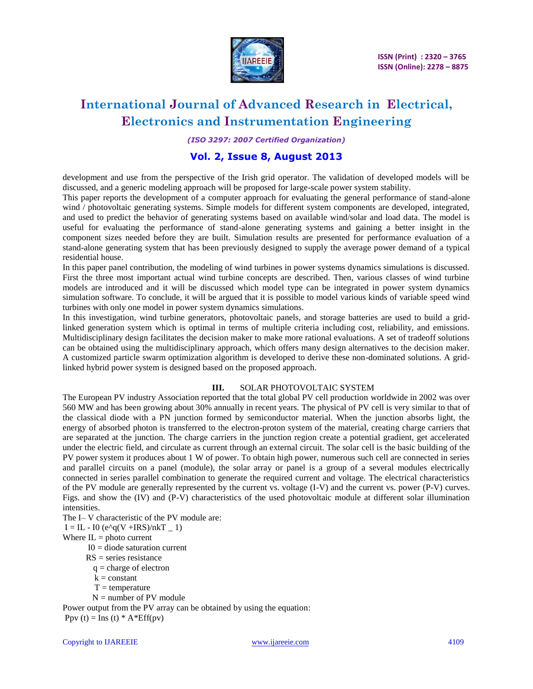

*(ISO 3297: 2007 Certified Organization)*

### **Vol. 2, Issue 8, August 2013**

development and use from the perspective of the Irish grid operator. The validation of developed models will be discussed, and a generic modeling approach will be proposed for large-scale power system stability.

This paper reports the development of a computer approach for evaluating the general performance of stand-alone wind / photovoltaic generating systems. Simple models for different system components are developed, integrated, and used to predict the behavior of generating systems based on available wind/solar and load data. The model is useful for evaluating the performance of stand-alone generating systems and gaining a better insight in the component sizes needed before they are built. Simulation results are presented for performance evaluation of a stand-alone generating system that has been previously designed to supply the average power demand of a typical residential house.

In this paper panel contribution, the modeling of wind turbines in power systems dynamics simulations is discussed. First the three most important actual wind turbine concepts are described. Then, various classes of wind turbine models are introduced and it will be discussed which model type can be integrated in power system dynamics simulation software. To conclude, it will be argued that it is possible to model various kinds of variable speed wind turbines with only one model in power system dynamics simulations.

In this investigation, wind turbine generators, photovoltaic panels, and storage batteries are used to build a gridlinked generation system which is optimal in terms of multiple criteria including cost, reliability, and emissions. Multidisciplinary design facilitates the decision maker to make more rational evaluations. A set of tradeoff solutions can be obtained using the multidisciplinary approach, which offers many design alternatives to the decision maker. A customized particle swarm optimization algorithm is developed to derive these non-dominated solutions. A gridlinked hybrid power system is designed based on the proposed approach.

#### **III.** SOLAR PHOTOVOLTAIC SYSTEM

The European PV industry Association reported that the total global PV cell production worldwide in 2002 was over 560 MW and has been growing about 30% annually in recent years. The physical of PV cell is very similar to that of the classical diode with a PN junction formed by semiconductor material. When the junction absorbs light, the energy of absorbed photon is transferred to the electron-proton system of the material, creating charge carriers that are separated at the junction. The charge carriers in the junction region create a potential gradient, get accelerated under the electric field, and circulate as current through an external circuit. The solar cell is the basic building of the PV power system it produces about 1 W of power. To obtain high power, numerous such cell are connected in series and parallel circuits on a panel (module), the solar array or panel is a group of a several modules electrically connected in series parallel combination to generate the required current and voltage. The electrical characteristics of the PV module are generally represented by the current vs. voltage (I-V) and the current vs. power (P-V) curves. Figs. and show the (IV) and (P-V) characteristics of the used photovoltaic module at different solar illumination intensities.

The I– V characteristic of the PV module are:

 $I = IL - IO (e^q(V + IRS)/nkT - 1)$ 

Where  $IL =$  photo current

- $I0 =$  diode saturation current
- $RS = series$  resistance
- $q = charge of electron$
- $k = constant$
- $T = temperature$
- N = number of PV module

Power output from the PV array can be obtained by using the equation: Ppv (t) = Ins (t)  $*$  A $*$ Eff(pv)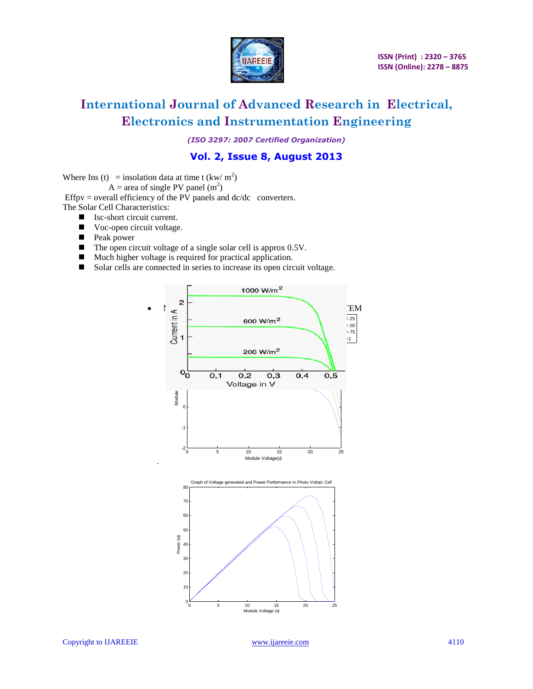

*(ISO 3297: 2007 Certified Organization)*

### **Vol. 2, Issue 8, August 2013**

Where Ins (t) = insolation data at time t (kw/ m<sup>2</sup>)

 $A = \text{area of single PV panel (m}^2)$ 

Effpv = overall efficiency of the PV panels and  $dc/dc$  converters. The Solar Cell Characteristics:

- Isc-short circuit current.
- Voc-open circuit voltage.
- **Peak power**
- $\blacksquare$  The open circuit voltage of a single solar cell is approx 0.5V.
- Much higher voltage is required for practical application.
- Solar cells are connected in series to increase its open circuit voltage.

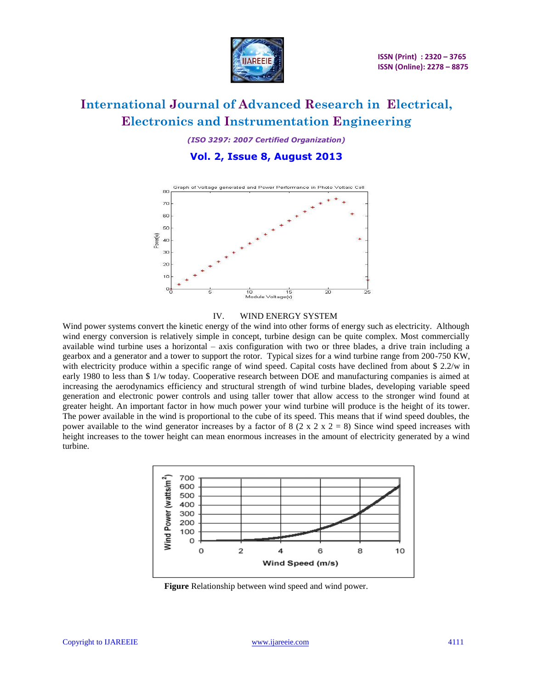

*(ISO 3297: 2007 Certified Organization)*

### **Vol. 2, Issue 8, August 2013**



#### IV. WIND ENERGY SYSTEM

Wind power systems convert the kinetic energy of the wind into other forms of energy such as electricity. Although wind energy conversion is relatively simple in concept, turbine design can be quite complex. Most commercially available wind turbine uses a horizontal – axis configuration with two or three blades, a drive train including a gearbox and a generator and a tower to support the rotor. Typical sizes for a wind turbine range from 200-750 KW, with electricity produce within a specific range of wind speed. Capital costs have declined from about \$2.2/w in early 1980 to less than \$ 1/w today. Cooperative research between DOE and manufacturing companies is aimed at increasing the aerodynamics efficiency and structural strength of wind turbine blades, developing variable speed generation and electronic power controls and using taller tower that allow access to the stronger wind found at greater height. An important factor in how much power your wind turbine will produce is the height of its tower. The power available in the wind is proportional to the cube of its speed. This means that if wind speed doubles, the power available to the wind generator increases by a factor of 8 (2 x 2 x 2 = 8) Since wind speed increases with height increases to the tower height can mean enormous increases in the amount of electricity generated by a wind turbine.



**Figure** Relationship between wind speed and wind power.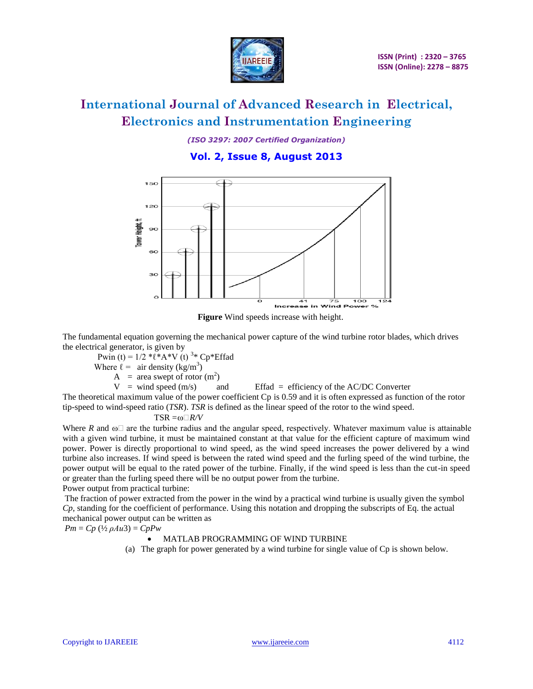

*(ISO 3297: 2007 Certified Organization)*

### **Vol. 2, Issue 8, August 2013**



**Figure** Wind speeds increase with height.

The fundamental equation governing the mechanical power capture of the wind turbine rotor blades, which drives the electrical generator, is given by

Pwin (t) =  $1/2$  \* $\ell$ \*A\*V (t) <sup>3</sup>\* Cp\*Effad

Where  $\ell = \arctan \left( \frac{\text{kg}}{\text{m}^3} \right)$ 

 $A = \text{area swept of rotor (m}^2)$ 

 $V =$  wind speed (m/s) and Effad = efficiency of the AC/DC Converter

The theoretical maximum value of the power coefficient Cp is 0.59 and it is often expressed as function of the rotor tip-speed to wind-speed ratio (*TSR*). *TSR* is defined as the linear speed of the rotor to the wind speed.

#### $TSR = \omega \Box R/V$

Where *R* and  $\omega$  are the turbine radius and the angular speed, respectively. Whatever maximum value is attainable with a given wind turbine, it must be maintained constant at that value for the efficient capture of maximum wind power. Power is directly proportional to wind speed, as the wind speed increases the power delivered by a wind turbine also increases. If wind speed is between the rated wind speed and the furling speed of the wind turbine, the power output will be equal to the rated power of the turbine. Finally, if the wind speed is less than the cut-in speed or greater than the furling speed there will be no output power from the turbine.

Power output from practical turbine:

The fraction of power extracted from the power in the wind by a practical wind turbine is usually given the symbol *Cp*, standing for the coefficient of performance. Using this notation and dropping the subscripts of Eq. the actual mechanical power output can be written as

 $Pm = Cp$  ( $\frac{1}{2}$   $\rho A u 3$ ) =  $Cp P w$ 

#### MATLAB PROGRAMMING OF WIND TURBINE

(a) The graph for power generated by a wind turbine for single value of Cp is shown below.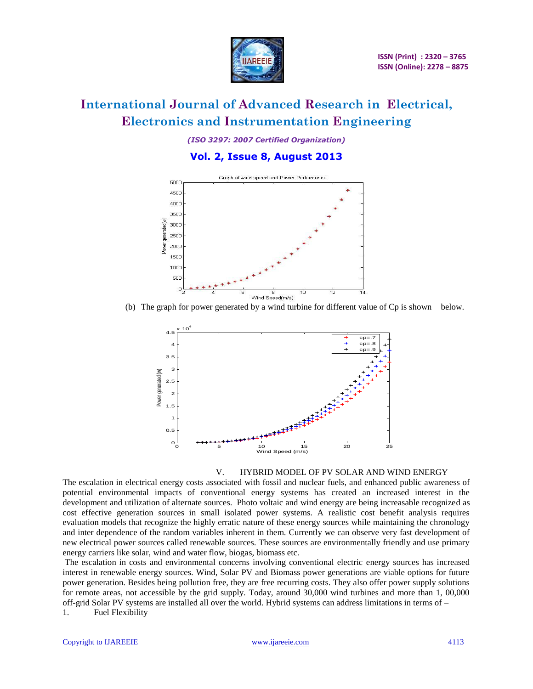

*(ISO 3297: 2007 Certified Organization)*

### **Vol. 2, Issue 8, August 2013**



(b) The graph for power generated by a wind turbine for different value of Cp is shown below.



#### V. HYBRID MODEL OF PV SOLAR AND WIND ENERGY

The escalation in electrical energy costs associated with fossil and nuclear fuels, and enhanced public awareness of potential environmental impacts of conventional energy systems has created an increased interest in the development and utilization of alternate sources. Photo voltaic and wind energy are being increasable recognized as cost effective generation sources in small isolated power systems. A realistic cost benefit analysis requires evaluation models that recognize the highly erratic nature of these energy sources while maintaining the chronology and inter dependence of the random variables inherent in them. Currently we can observe very fast development of new electrical power sources called renewable sources. These sources are environmentally friendly and use primary energy carriers like solar, wind and water flow, biogas, biomass etc.

The escalation in costs and environmental concerns involving conventional electric energy sources has increased interest in renewable energy sources. Wind, Solar PV and Biomass power generations are viable options for future power generation. Besides being pollution free, they are free recurring costs. They also offer power supply solutions for remote areas, not accessible by the grid supply. Today, around 30,000 wind turbines and more than 1, 00,000 off-grid Solar PV systems are installed all over the world. Hybrid systems can address limitations in terms of – 1. Fuel Flexibility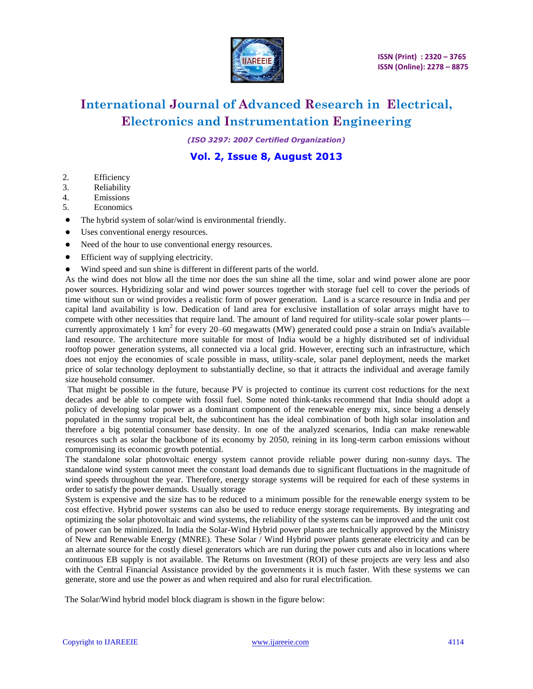

*(ISO 3297: 2007 Certified Organization)*

### **Vol. 2, Issue 8, August 2013**

- 2. Efficiency
- 3. Reliability
- 4. Emissions
- 5. Economics
- The hybrid system of solar/wind is environmental friendly.
- Uses conventional energy resources.
- Need of the hour to use conventional energy resources.
- Efficient way of supplying electricity.
- Wind speed and sun shine is different in different parts of the world.

As the wind does not blow all the time nor does the sun shine all the time, solar and wind power alone are poor power sources. Hybridizing solar and wind power sources together with storage fuel cell to cover the periods of time without sun or wind provides a realistic form of power generation. Land is a scarce resource in India and per capital land availability is low. Dedication of land area for exclusive installation of solar arrays might have to compete with other necessities that require land. The amount of land required for utility-scale solar power plants currently approximately 1 km<sup>2</sup> for every 20–60 megawatts (MW) generated could pose a strain on India's available land resource. The architecture more suitable for most of India would be a highly distributed set of individual rooftop power generation systems, all connected via a local grid. However, erecting such an infrastructure, which does not enjoy the economies of scale possible in mass, utility-scale, solar panel deployment, needs the market price of solar technology deployment to substantially decline, so that it attracts the individual and average family size household consumer.

That might be possible in the future, because PV is projected to continue its current cost reductions for the next decades and be able to compete with fossil fuel. Some noted think-tanks recommend that India should adopt a policy of developing solar power as a dominant component of the renewable energy mix, since being a densely populated in the sunny tropical belt, the subcontinent has the ideal combination of both high solar insolation and therefore a big potential consumer base density. In one of the analyzed scenarios, India can make renewable resources such as solar the backbone of its economy by 2050, reining in its long-term carbon emissions without compromising its economic growth potential.

The standalone solar photovoltaic energy system cannot provide reliable power during non-sunny days. The standalone wind system cannot meet the constant load demands due to significant fluctuations in the magnitude of wind speeds throughout the year. Therefore, energy storage systems will be required for each of these systems in order to satisfy the power demands. Usually storage

System is expensive and the size has to be reduced to a minimum possible for the renewable energy system to be cost effective. Hybrid power systems can also be used to reduce energy storage requirements. By integrating and optimizing the solar photovoltaic and wind systems, the reliability of the systems can be improved and the unit cost of power can be minimized. In India the Solar-Wind Hybrid power plants are technically approved by the Ministry of New and Renewable Energy (MNRE). These Solar / Wind Hybrid power plants generate electricity and can be an alternate source for the costly diesel generators which are run during the power cuts and also in locations where continuous EB supply is not available. The Returns on Investment (ROI) of these projects are very less and also with the Central Financial Assistance provided by the governments it is much faster. With these systems we can generate, store and use the power as and when required and also for rural electrification.

The Solar/Wind hybrid model block diagram is shown in the figure below: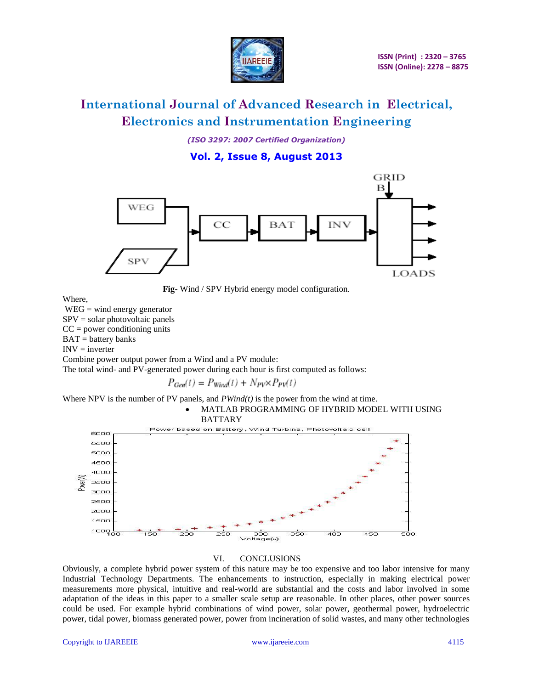

*(ISO 3297: 2007 Certified Organization)*

**Vol. 2, Issue 8, August 2013**



 **Fig-** Wind / SPV Hybrid energy model configuration.

Where,

WEG = wind energy generator  $SPV = solar photovoltaic panels$  $CC = power$  conditioning units  $BAT = battery$  banks  $INV = inverter$ Combine power output power from a Wind and a PV module:

The total wind- and PV-generated power during each hour is first computed as follows:

 $P_{Gen}(t) = P_{Wind}(t) + N_{PV} \times P_{PV}(t)$ 

Where NPV is the number of PV panels, and *PWind(t)* is the power from the wind at time.



#### VI. CONCLUSIONS

Obviously, a complete hybrid power system of this nature may be too expensive and too labor intensive for many Industrial Technology Departments. The enhancements to instruction, especially in making electrical power measurements more physical, intuitive and real-world are substantial and the costs and labor involved in some adaptation of the ideas in this paper to a smaller scale setup are reasonable. In other places, other power sources could be used. For example hybrid combinations of wind power, solar power, geothermal power, hydroelectric power, tidal power, biomass generated power, power from incineration of solid wastes, and many other technologies